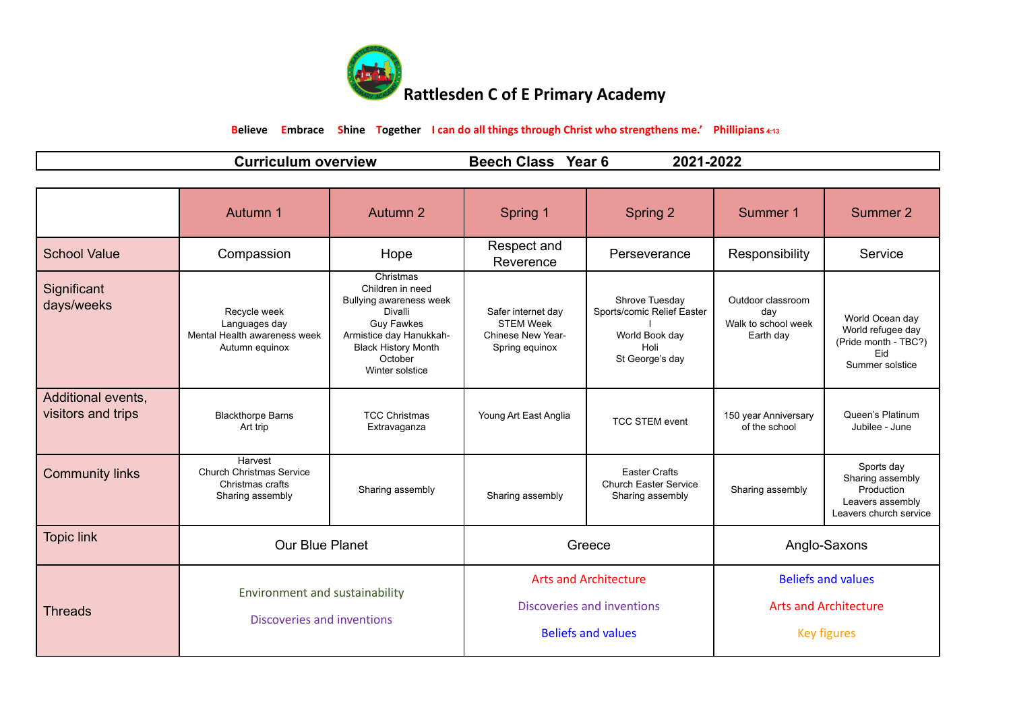

**Believe Embrace Shine Together I can do all things through Christ who strengthens me.' Phillipians 4:13**

|  |  | ∪urr∵<br>∴ulum<br>overview<br>rıc | <b>Class</b><br>Year (<br>--<br>Beecl | $1 - 202$<br>2021. |
|--|--|-----------------------------------|---------------------------------------|--------------------|
|--|--|-----------------------------------|---------------------------------------|--------------------|

|                                          | Autumn 1                                                                           | Autumn 2                                                                                                                                                                        | Spring 1                                                                                | Spring 2                                                                                  | Summer 1                                                                        | Summer 2                                                                                   |
|------------------------------------------|------------------------------------------------------------------------------------|---------------------------------------------------------------------------------------------------------------------------------------------------------------------------------|-----------------------------------------------------------------------------------------|-------------------------------------------------------------------------------------------|---------------------------------------------------------------------------------|--------------------------------------------------------------------------------------------|
| <b>School Value</b>                      | Compassion                                                                         | Hope                                                                                                                                                                            | Respect and<br>Reverence                                                                | Perseverance                                                                              | Responsibility                                                                  | Service                                                                                    |
| Significant<br>days/weeks                | Recycle week<br>Languages day<br>Mental Health awareness week<br>Autumn equinox    | Christmas<br>Children in need<br>Bullying awareness week<br>Divalli<br><b>Guy Fawkes</b><br>Armistice day Hanukkah-<br><b>Black History Month</b><br>October<br>Winter solstice | Safer internet day<br><b>STEM Week</b><br>Chinese New Year-<br>Spring equinox           | Shrove Tuesday<br>Sports/comic Relief Easter<br>World Book day<br>Holi<br>St George's day | Outdoor classroom<br>day<br>Walk to school week<br>Earth day                    | World Ocean day<br>World refugee day<br>(Pride month - TBC?)<br>Eid<br>Summer solstice     |
| Additional events,<br>visitors and trips | <b>Blackthorpe Barns</b><br>Art trip                                               | <b>TCC Christmas</b><br>Extravaganza                                                                                                                                            | Young Art East Anglia                                                                   | <b>TCC STEM event</b>                                                                     | 150 year Anniversary<br>of the school                                           | Queen's Platinum<br>Jubilee - June                                                         |
| <b>Community links</b>                   | Harvest<br><b>Church Christmas Service</b><br>Christmas crafts<br>Sharing assembly | Sharing assembly                                                                                                                                                                | Sharing assembly                                                                        | <b>Easter Crafts</b><br><b>Church Easter Service</b><br>Sharing assembly                  | Sharing assembly                                                                | Sports day<br>Sharing assembly<br>Production<br>Leavers assembly<br>Leavers church service |
| <b>Topic link</b>                        | <b>Our Blue Planet</b>                                                             |                                                                                                                                                                                 | Greece                                                                                  |                                                                                           | Anglo-Saxons                                                                    |                                                                                            |
| <b>Threads</b>                           | Environment and sustainability<br>Discoveries and inventions                       |                                                                                                                                                                                 | <b>Arts and Architecture</b><br>Discoveries and inventions<br><b>Beliefs and values</b> |                                                                                           | <b>Beliefs and values</b><br><b>Arts and Architecture</b><br><b>Key figures</b> |                                                                                            |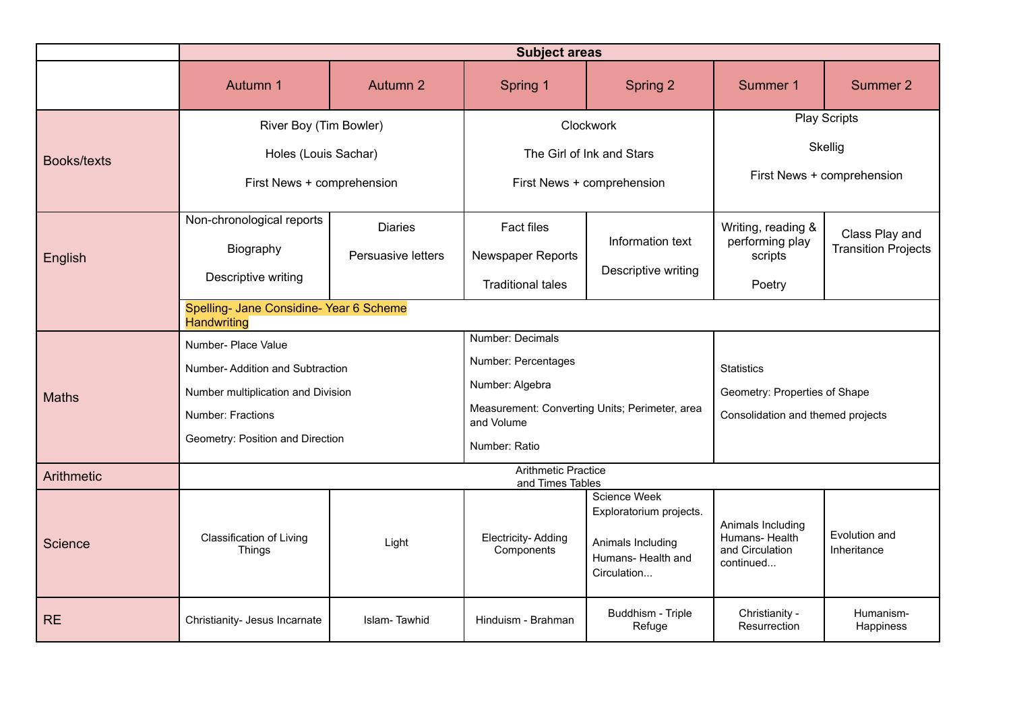|                    | <b>Subject areas</b>                                          |                    |                                                              |                                                                                                   |                                                                     |                              |
|--------------------|---------------------------------------------------------------|--------------------|--------------------------------------------------------------|---------------------------------------------------------------------------------------------------|---------------------------------------------------------------------|------------------------------|
|                    | Autumn 1                                                      | Autumn 2           | Spring 1                                                     | Spring 2                                                                                          | Summer 1                                                            | Summer 2                     |
|                    | River Boy (Tim Bowler)                                        |                    |                                                              | Clockwork                                                                                         |                                                                     | <b>Play Scripts</b>          |
|                    | Holes (Louis Sachar)                                          |                    | The Girl of Ink and Stars                                    |                                                                                                   | Skellig                                                             |                              |
| <b>Books/texts</b> | First News + comprehension                                    |                    | First News + comprehension                                   |                                                                                                   | First News + comprehension                                          |                              |
|                    | Non-chronological reports                                     | <b>Diaries</b>     | Fact files                                                   |                                                                                                   | Writing, reading &                                                  | Class Play and               |
| English            | Biography                                                     | Persuasive letters | Newspaper Reports                                            | Information text                                                                                  | performing play<br>scripts                                          | <b>Transition Projects</b>   |
|                    | Descriptive writing                                           |                    | <b>Traditional tales</b>                                     | Descriptive writing                                                                               | Poetry                                                              |                              |
|                    | Spelling- Jane Considine- Year 6 Scheme<br><b>Handwriting</b> |                    |                                                              |                                                                                                   |                                                                     |                              |
|                    | Number- Place Value                                           |                    | Number: Decimals                                             |                                                                                                   |                                                                     |                              |
|                    | Number-Addition and Subtraction                               |                    | Number: Percentages                                          |                                                                                                   | <b>Statistics</b>                                                   |                              |
| <b>Maths</b>       | Number multiplication and Division                            |                    | Number: Algebra                                              |                                                                                                   | Geometry: Properties of Shape                                       |                              |
|                    | Number: Fractions                                             |                    | Measurement: Converting Units; Perimeter, area<br>and Volume |                                                                                                   | Consolidation and themed projects                                   |                              |
|                    | Geometry: Position and Direction                              |                    | Number: Ratio                                                |                                                                                                   |                                                                     |                              |
| Arithmetic         | <b>Arithmetic Practice</b><br>and Times Tables                |                    |                                                              |                                                                                                   |                                                                     |                              |
| Science            | Classification of Living<br><b>Things</b>                     | Light              | Electricity-Adding<br>Components                             | Science Week<br>Exploratorium projects.<br>Animals Including<br>Humans- Health and<br>Circulation | Animals Including<br>Humans- Health<br>and Circulation<br>continued | Evolution and<br>Inheritance |
| <b>RE</b>          | Christianity- Jesus Incarnate                                 | Islam-Tawhid       | Hinduism - Brahman                                           | Buddhism - Triple<br>Refuge                                                                       | Christianity -<br>Resurrection                                      | Humanism-<br>Happiness       |